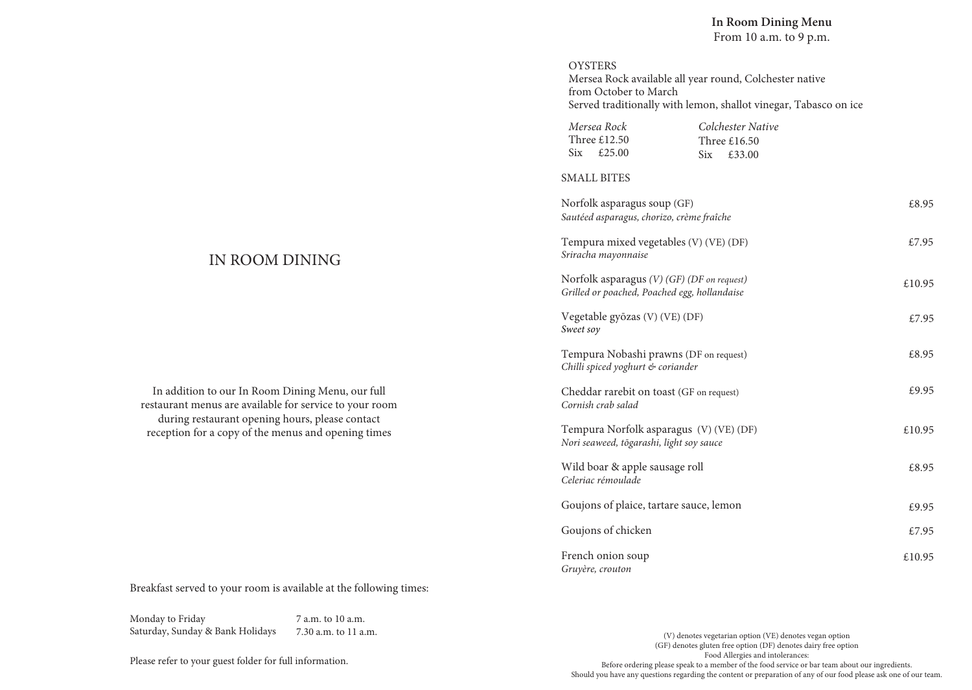#### **OYSTERS**

Mersea Rock available all year round, Colchester native from October to March Served traditionally with lemon, shallot vinegar, Tabasco on ice

| Mersea Rock         | Colchester Native   |
|---------------------|---------------------|
| Three £12.50        | Three $£16.50$      |
| $\text{Six}$ £25.00 | $\text{Six}$ £33.00 |

#### SMALL BITES

| Norfolk asparagus soup (GF)<br>Sautéed asparagus, chorizo, crème fraîche                   | £8.95  |
|--------------------------------------------------------------------------------------------|--------|
| Tempura mixed vegetables (V) (VE) (DF)<br>Sriracha mayonnaise                              | £7.95  |
| Norfolk asparagus (V) (GF) (DF on request)<br>Grilled or poached, Poached egg, hollandaise | £10.95 |
| Vegetable gyōzas (V) (VE) (DF)<br>Sweet soy                                                | £7.95  |
| Tempura Nobashi prawns (DF on request)<br>Chilli spiced yoghurt & coriander                | £8.95  |
| Cheddar rarebit on toast (GF on request)<br>Cornish crab salad                             | £9.95  |
| Tempura Norfolk asparagus (V) (VE) (DF)<br>Nori seaweed, tōgarashi, light soy sauce        | £10.95 |
| Wild boar & apple sausage roll<br>Celeriac rémoulade                                       | £8.95  |
| Goujons of plaice, tartare sauce, lemon                                                    | £9.95  |
| Goujons of chicken                                                                         | £7.95  |
| French onion soup<br>Gruyère, crouton                                                      | £10.95 |

# IN ROOM DINING

In addition to our In Room Dining Menu, our full restaurant menus are available for service to your room during restaurant opening hours, please contact reception for a copy of the menus and opening times

Breakfast served to your room is available at the following times:

Monday to Friday Saturday, Sunday & Bank Holidays 7 a.m. to 10 a.m. 7.30 a.m. to 11 a.m.

Please refer to your guest folder for full information.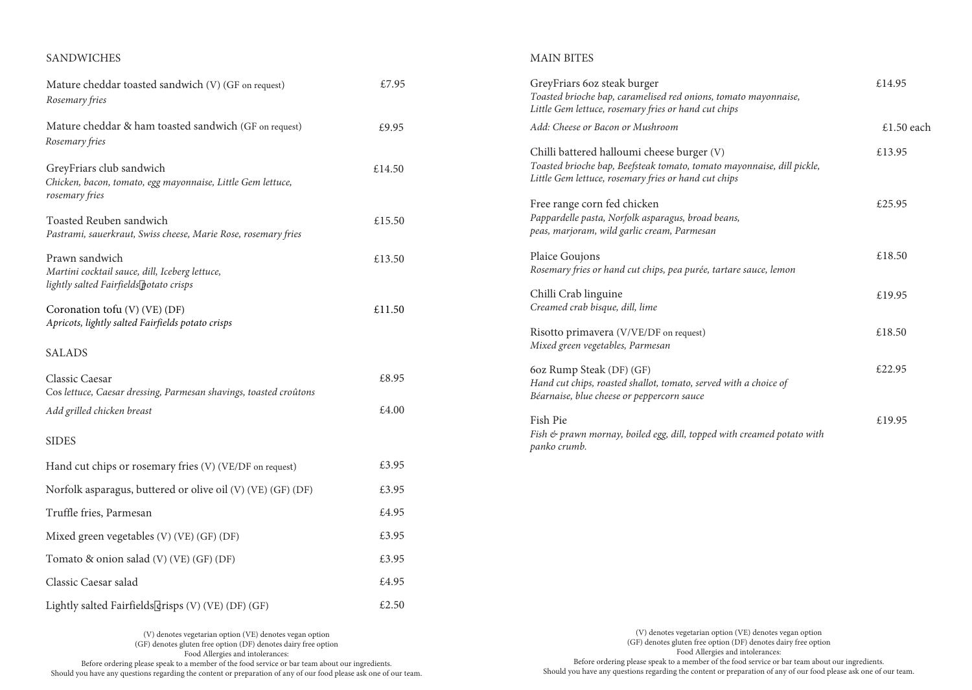# SANDWICHES

# MAIN BITES

| Mature cheddar toasted sandwich (V) (GF on request)<br>Rosemary fries                                       | £7.95  | GreyFriars 6oz steak burger<br>Toasted brioche bap, caramelised red onions, tomato mayonnaise,<br>Little Gem lettuce, rosemary fries or hand cut chips                       | £14.95     |
|-------------------------------------------------------------------------------------------------------------|--------|------------------------------------------------------------------------------------------------------------------------------------------------------------------------------|------------|
| Mature cheddar & ham toasted sandwich (GF on request)                                                       | £9.95  | Add: Cheese or Bacon or Mushroom                                                                                                                                             | £1.50 each |
| Rosemary fries<br>GreyFriars club sandwich<br>Chicken, bacon, tomato, egg mayonnaise, Little Gem lettuce,   | £14.50 | Chilli battered halloumi cheese burger (V)<br>Toasted brioche bap, Beefsteak tomato, tomato mayonnaise, dill pickle,<br>Little Gem lettuce, rosemary fries or hand cut chips | £13.95     |
| rosemary fries<br>Toasted Reuben sandwich<br>Pastrami, sauerkraut, Swiss cheese, Marie Rose, rosemary fries | £15.50 | Free range corn fed chicken<br>Pappardelle pasta, Norfolk asparagus, broad beans,<br>peas, marjoram, wild garlic cream, Parmesan                                             | £25.95     |
| Prawn sandwich<br>Martini cocktail sauce, dill, Iceberg lettuce,                                            | £13.50 | Plaice Goujons<br>Rosemary fries or hand cut chips, pea purée, tartare sauce, lemon                                                                                          | £18.50     |
| lightly salted Fairfields potato crisps<br>Coronation tofu (V) (VE) (DF)                                    | £11.50 | Chilli Crab linguine<br>Creamed crab bisque, dill, lime                                                                                                                      | £19.95     |
| Apricots, lightly salted Fairfields potato crisps<br><b>SALADS</b>                                          |        | Risotto primavera (V/VE/DF on request)<br>Mixed green vegetables, Parmesan                                                                                                   | £18.50     |
| Classic Caesar<br>Cos lettuce, Caesar dressing, Parmesan shavings, toasted croûtons                         | £8.95  | 6oz Rump Steak (DF) (GF)<br>Hand cut chips, roasted shallot, tomato, served with a choice of<br>Béarnaise, blue cheese or peppercorn sauce                                   | £22.95     |
| Add grilled chicken breast                                                                                  | £4.00  | Fish Pie                                                                                                                                                                     | £19.95     |
| <b>SIDES</b>                                                                                                |        | Fish & prawn mornay, boiled egg, dill, topped with creamed potato with<br>panko crumb.                                                                                       |            |
| Hand cut chips or rosemary fries (V) (VE/DF on request)                                                     | £3.95  |                                                                                                                                                                              |            |
| Norfolk asparagus, buttered or olive oil (V) (VE) (GF) (DF)                                                 | £3.95  |                                                                                                                                                                              |            |
| Truffle fries, Parmesan                                                                                     | £4.95  |                                                                                                                                                                              |            |
| Mixed green vegetables (V) (VE) (GF) (DF)                                                                   | £3.95  |                                                                                                                                                                              |            |
| Tomato & onion salad (V) (VE) (GF) (DF)                                                                     | £3.95  |                                                                                                                                                                              |            |
| Classic Caesar salad                                                                                        | £4.95  |                                                                                                                                                                              |            |
| Lightly salted Fairfields crisps (V) (VE) (DF) (GF)                                                         | £2.50  |                                                                                                                                                                              |            |

(V) denotes vegetarian option (VE) denotes vegan option (GF) denotes gluten free option (DF) denotes dairy free option Food Allergies and intolerances: Before ordering please speak to a member of the food service or bar team about our ingredients. Should you have any questions regarding the content or preparation of any of our food please ask one of our team.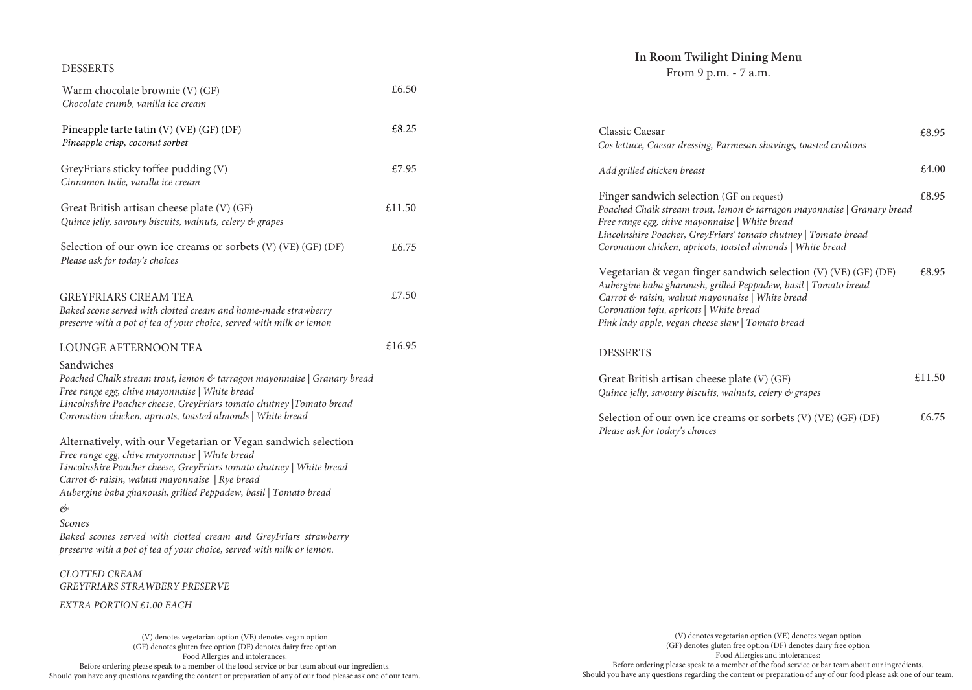## DESSERTS

| Warm chocolate brownie (V) (GF)<br>Chocolate crumb, vanilla ice cream                                                                                                                                                                                                                                                                                                                                                                                                     | £6.50  |  |
|---------------------------------------------------------------------------------------------------------------------------------------------------------------------------------------------------------------------------------------------------------------------------------------------------------------------------------------------------------------------------------------------------------------------------------------------------------------------------|--------|--|
| Pineapple tarte tatin (V) (VE) (GF) (DF)<br>Pineapple crisp, coconut sorbet                                                                                                                                                                                                                                                                                                                                                                                               | £8.25  |  |
| GreyFriars sticky toffee pudding (V)<br>Cinnamon tuile, vanilla ice cream                                                                                                                                                                                                                                                                                                                                                                                                 | £7.95  |  |
| Great British artisan cheese plate (V) (GF)<br>Quince jelly, savoury biscuits, walnuts, celery & grapes                                                                                                                                                                                                                                                                                                                                                                   | £11.50 |  |
| Selection of our own ice creams or sorbets (V) (VE) (GF) (DF)<br>Please ask for today's choices                                                                                                                                                                                                                                                                                                                                                                           | £6.75  |  |
| <b>GREYFRIARS CREAM TEA</b><br>Baked scone served with clotted cream and home-made strawberry<br>preserve with a pot of tea of your choice, served with milk or lemon                                                                                                                                                                                                                                                                                                     | £7.50  |  |
| <b>LOUNGE AFTERNOON TEA</b>                                                                                                                                                                                                                                                                                                                                                                                                                                               | £16.95 |  |
| Sandwiches<br>Poached Chalk stream trout, lemon & tarragon mayonnaise   Granary bread<br>Free range egg, chive mayonnaise   White bread<br>Lincolnshire Poacher cheese, GreyFriars tomato chutney  Tomato bread<br>Coronation chicken, apricots, toasted almonds   White bread                                                                                                                                                                                            |        |  |
| Alternatively, with our Vegetarian or Vegan sandwich selection<br>Free range egg, chive mayonnaise   White bread<br>Lincolnshire Poacher cheese, GreyFriars tomato chutney   White bread<br>Carrot & raisin, walnut mayonnaise   Rye bread<br>Aubergine baba ghanoush, grilled Peppadew, basil   Tomato bread<br>Ċ<br>Scones<br>Baked scones served with clotted cream and GreyFriars strawberry<br>preserve with a pot of tea of your choice, served with milk or lemon. |        |  |
| <b>CLOTTED CREAM</b><br><b>GREYFRIARS STRAWBERY PRESERVE</b>                                                                                                                                                                                                                                                                                                                                                                                                              |        |  |
| EXTRA PORTION £1.00 EACH                                                                                                                                                                                                                                                                                                                                                                                                                                                  |        |  |
|                                                                                                                                                                                                                                                                                                                                                                                                                                                                           |        |  |

(V) denotes vegetarian option (VE) denotes vegan option (GF) denotes gluten free option (DF) denotes dairy free option Food Allergies and intolerances: Before ordering please speak to a member of the food service or bar team about our ingredients. Should you have any questions regarding the content or preparation of any of our food please ask one of our team.

# **In Room Twilight Dining Menu**

From 9 p.m. - 7 a.m.

| Classic Caesar<br>Cos lettuce, Caesar dressing, Parmesan shavings, toasted croûtons                                                                                                                                                                                                                      | £8.95  |
|----------------------------------------------------------------------------------------------------------------------------------------------------------------------------------------------------------------------------------------------------------------------------------------------------------|--------|
| Add grilled chicken breast                                                                                                                                                                                                                                                                               | £.4.00 |
| Finger sandwich selection (GF on request)<br>Poached Chalk stream trout, lemon & tarragon mayonnaise   Granary bread<br>Free range egg, chive mayonnaise   White bread<br>Lincolnshire Poacher, GreyFriars' tomato chutney   Tomato bread<br>Coronation chicken, apricots, toasted almonds   White bread | £8.95  |
| Vegetarian & vegan finger sandwich selection (V) (VE) (GF) (DF)<br>Aubergine baba ghanoush, grilled Peppadew, basil   Tomato bread<br>Carrot & raisin, walnut mayonnaise   White bread<br>Coronation tofu, apricots   White bread<br>Pink lady apple, vegan cheese slaw   Tomato bread                   | £8.95  |
| <b>DESSERTS</b>                                                                                                                                                                                                                                                                                          |        |
| Great British artisan cheese plate (V) (GF)<br>Quince jelly, savoury biscuits, walnuts, celery $\mathfrak{G}$ grapes                                                                                                                                                                                     | £11.50 |
| Selection of our own ice creams or sorbets $(V)$ $(VE)$ $(GF)$ $(DF)$<br>Please ask for today's choices                                                                                                                                                                                                  | f.6.75 |

(V) denotes vegetarian option (VE) denotes vegan option (GF) denotes gluten free option (DF) denotes dairy free option Food Allergies and intolerances: Before ordering please speak to a member of the food service or bar team about our ingredients. Should you have any questions regarding the content or preparation of any of our food please ask one of our team.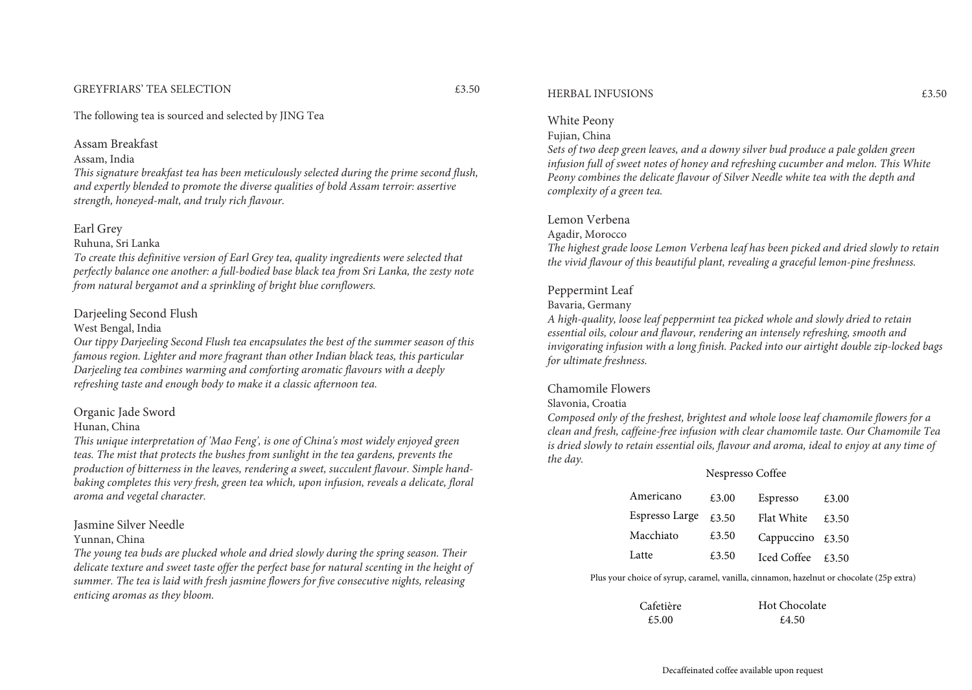#### GREYFRIARS' TEA SELECTION £3.50

The following tea is sourced and selected by JING Tea

#### Assam Breakfast

Assam, India

*This signature breakfast tea has been meticulously selected during the prime second flush, and expertly blended to promote the diverse qualities of bold Assam terroir: assertive strength, honeyed-malt, and truly rich flavour.*

#### Earl Grey

#### Ruhuna, Sri Lanka

*To create this definitive version of Earl Grey tea, quality ingredients were selected that perfectly balance one another: a full-bodied base black tea from Sri Lanka, the zesty note from natural bergamot and a sprinkling of bright blue cornflowers.*

## Darjeeling Second Flush

# West Bengal, India

*Our tippy Darjeeling Second Flush tea encapsulates the best of the summer season of this famous region. Lighter and more fragrant than other Indian black teas, this particular Darjeeling tea combines warming and comforting aromatic flavours with a deeply refreshing taste and enough body to make it a classic afternoon tea.*

# Organic Jade Sword

## Hunan, China

*This unique interpretation of 'Mao Feng', is one of China's most widely enjoyed green teas. The mist that protects the bushes from sunlight in the tea gardens, prevents the production of bitterness in the leaves, rendering a sweet, succulent flavour. Simple handbaking completes this very fresh, green tea which, upon infusion, reveals a delicate, floral aroma and vegetal character.*

#### Jasmine Silver Needle

#### Yunnan, China

*The young tea buds are plucked whole and dried slowly during the spring season. Their delicate texture and sweet taste offer the perfect base for natural scenting in the height of summer. The tea is laid with fresh jasmine flowers for five consecutive nights, releasing enticing aromas as they bloom.*

#### HERBAL INFUSIONS £3.50

# White Peony

# Fujian, China

*Sets of two deep green leaves, and a downy silver bud produce a pale golden green infusion full of sweet notes of honey and refreshing cucumber and melon. This White Peony combines the delicate flavour of Silver Needle white tea with the depth and complexity of a green tea.*

## Lemon Verbena

#### Agadir, Morocco

*The highest grade loose Lemon Verbena leaf has been picked and dried slowly to retain the vivid flavour of this beautiful plant, revealing a graceful lemon-pine freshness.*

# Peppermint Leaf

## Bavaria, Germany

*A high-quality, loose leaf peppermint tea picked whole and slowly dried to retain essential oils, colour and flavour, rendering an intensely refreshing, smooth and invigorating infusion with a long finish. Packed into our airtight double zip-locked bags for ultimate freshness.*

#### Chamomile Flowers

#### Slavonia, Croatia

*Composed only of the freshest, brightest and whole loose leaf chamomile flowers for a clean and fresh, caffeine-free infusion with clear chamomile taste. Our Chamomile Tea is dried slowly to retain essential oils, flavour and aroma, ideal to enjoy at any time of the day.*

#### Nespresso Coffee

| Americano      | £3.00 | Espresso    | £3.00 |
|----------------|-------|-------------|-------|
| Espresso Large | £3.50 | Flat White  | £3.50 |
| Macchiato      | £3.50 | Cappuccino  | £3.50 |
| Latte          | £3.50 | Iced Coffee | £3.50 |

Plus your choice of syrup, caramel, vanilla, cinnamon, hazelnut or chocolate (25p extra)

| Cafetière | Hot Chocolate |
|-----------|---------------|
| £.5.00    | £4.50         |